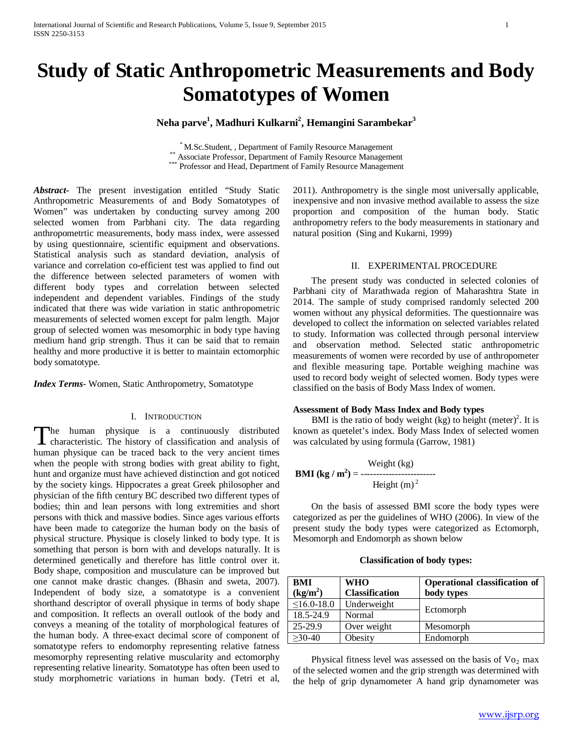# **Study of Static Anthropometric Measurements and Body Somatotypes of Women**

## **Neha parve1 , Madhuri Kulkarni2 , Hemangini Sarambekar3**

\* M.Sc.Student, , Department of Family Resource Management \*\* Associate Professor, Department of Family Resource Management \*\*\* Professor and Head, Department of Family Resource Management

*Abstract***-** The present investigation entitled "Study Static Anthropometric Measurements of and Body Somatotypes of Women" was undertaken by conducting survey among 200 selected women from Parbhani city. The data regarding anthropometrtic measurements, body mass index, were assessed by using questionnaire, scientific equipment and observations. Statistical analysis such as standard deviation, analysis of variance and correlation co-efficient test was applied to find out the difference between selected parameters of women with different body types and correlation between selected independent and dependent variables. Findings of the study indicated that there was wide variation in static anthropometric measurements of selected women except for palm length. Major group of selected women was mesomorphic in body type having medium hand grip strength. Thus it can be said that to remain healthy and more productive it is better to maintain ectomorphic body somatotype.

*Index Terms*- Women, Static Anthropometry, Somatotype

#### I. INTRODUCTION

he human physique is a continuously distributed The human physique is a continuously distributed characteristic. The history of classification and analysis of human physique can be traced back to the very ancient times when the people with strong bodies with great ability to fight, hunt and organize must have achieved distinction and got noticed by the society kings. Hippocrates a great Greek philosopher and physician of the fifth century BC described two different types of bodies; thin and lean persons with long extremities and short persons with thick and massive bodies. Since ages various efforts have been made to categorize the human body on the basis of physical structure. Physique is closely linked to body type. It is something that person is born with and develops naturally. It is determined genetically and therefore has little control over it. Body shape, composition and musculature can be improved but one cannot make drastic changes. (Bhasin and sweta, 2007). Independent of body size, a somatotype is a convenient shorthand descriptor of overall physique in terms of body shape and composition. It reflects an overall outlook of the body and conveys a meaning of the totality of morphological features of the human body. A three-exact decimal score of component of somatotype refers to endomorphy representing relative fatness mesomorphy representing relative muscularity and ectomorphy representing relative linearity. Somatotype has often been used to study morphometric variations in human body. (Tetri et al,

2011). Anthropometry is the single most universally applicable, inexpensive and non invasive method available to assess the size proportion and composition of the human body. Static anthropometry refers to the body measurements in stationary and natural position (Sing and Kukarni, 1999)

#### II. EXPERIMENTAL PROCEDURE

 The present study was conducted in selected colonies of Parbhani city of Marathwada region of Maharashtra State in 2014. The sample of study comprised randomly selected 200 women without any physical deformities. The questionnaire was developed to collect the information on selected variables related to study. Information was collected through personal interview and observation method. Selected static anthropometric measurements of women were recorded by use of anthropometer and flexible measuring tape. Portable weighing machine was used to record body weight of selected women. Body types were classified on the basis of Body Mass Index of women.

#### **Assessment of Body Mass Index and Body types**

BMI is the ratio of body weight (kg) to height (meter)<sup>2</sup>. It is known as quetelet's index. Body Mass Index of selected women was calculated by using formula (Garrow, 1981)

**BMI (kg / m<sup>2</sup>)** = 
$$
- 4
$$
Height (kg)  
Height (m)<sup>2</sup>

 On the basis of assessed BMI score the body types were categorized as per the guidelines of WHO (2006). In view of the present study the body types were categorized as Ectomorph, Mesomorph and Endomorph as shown below

**Classification of body types:**

| <b>BMI</b>           | <b>WHO</b>            | <b>Operational classification of</b> |
|----------------------|-----------------------|--------------------------------------|
| (kg/m <sup>2</sup> ) | <b>Classification</b> | body types                           |
| $\leq$ 16.0-18.0     | Underweight           |                                      |
| 18.5-24.9            | Normal                | Ectomorph                            |
| $25-29.9$            | Over weight           | Mesomorph                            |
| $\geq$ 30-40         | Obesity               | Endomorph                            |

Physical fitness level was assessed on the basis of  $Vo_2$  max of the selected women and the grip strength was determined with the help of grip dynamometer A hand grip dynamometer was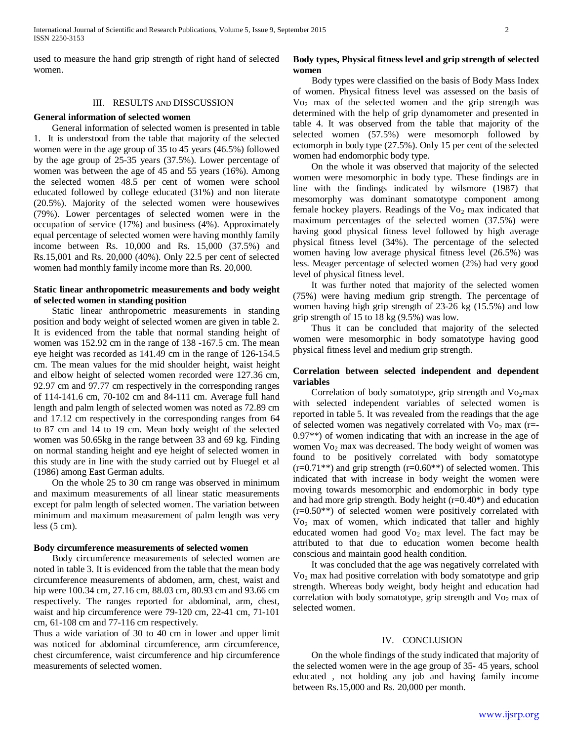used to measure the hand grip strength of right hand of selected women.

#### III. RESULTS AND DISSCUSSION

#### **General information of selected women**

 General information of selected women is presented in table 1. It is understood from the table that majority of the selected women were in the age group of 35 to 45 years (46.5%) followed by the age group of 25-35 years (37.5%). Lower percentage of women was between the age of 45 and 55 years (16%). Among the selected women 48.5 per cent of women were school educated followed by college educated (31%) and non literate (20.5%). Majority of the selected women were housewives (79%). Lower percentages of selected women were in the occupation of service (17%) and business (4%). Approximately equal percentage of selected women were having monthly family income between Rs. 10,000 and Rs. 15,000 (37.5%) and Rs.15,001 and Rs. 20,000 (40%). Only 22.5 per cent of selected women had monthly family income more than Rs. 20,000.

## **Static linear anthropometric measurements and body weight of selected women in standing position**

 Static linear anthropometric measurements in standing position and body weight of selected women are given in table 2. It is evidenced from the table that normal standing height of women was 152.92 cm in the range of 138 -167.5 cm. The mean eye height was recorded as 141.49 cm in the range of 126-154.5 cm. The mean values for the mid shoulder height, waist height and elbow height of selected women recorded were 127.36 cm, 92.97 cm and 97.77 cm respectively in the corresponding ranges of 114-141.6 cm, 70-102 cm and 84-111 cm. Average full hand length and palm length of selected women was noted as 72.89 cm and 17.12 cm respectively in the corresponding ranges from 64 to 87 cm and 14 to 19 cm. Mean body weight of the selected women was 50.65kg in the range between 33 and 69 kg. Finding on normal standing height and eye height of selected women in this study are in line with the study carried out by Fluegel et al (1986) among East German adults.

 On the whole 25 to 30 cm range was observed in minimum and maximum measurements of all linear static measurements except for palm length of selected women. The variation between minimum and maximum measurement of palm length was very less  $(5 \text{ cm})$ .

#### **Body circumference measurements of selected women**

 Body circumference measurements of selected women are noted in table 3. It is evidenced from the table that the mean body circumference measurements of abdomen, arm, chest, waist and hip were 100.34 cm, 27.16 cm, 88.03 cm, 80.93 cm and 93.66 cm respectively. The ranges reported for abdominal, arm, chest, waist and hip circumference were 79-120 cm, 22-41 cm, 71-101 cm, 61-108 cm and 77-116 cm respectively.

Thus a wide variation of 30 to 40 cm in lower and upper limit was noticed for abdominal circumference, arm circumference, chest circumference, waist circumference and hip circumference measurements of selected women.

## **Body types, Physical fitness level and grip strength of selected women**

 Body types were classified on the basis of Body Mass Index of women. Physical fitness level was assessed on the basis of Vo2 max of the selected women and the grip strength was determined with the help of grip dynamometer and presented in table 4. It was observed from the table that majority of the selected women (57.5%) were mesomorph followed by ectomorph in body type (27.5%). Only 15 per cent of the selected women had endomorphic body type.

 On the whole it was observed that majority of the selected women were mesomorphic in body type. These findings are in line with the findings indicated by wilsmore (1987) that mesomorphy was dominant somatotype component among female hockey players. Readings of the  $Vo_2$  max indicated that maximum percentages of the selected women (37.5%) were having good physical fitness level followed by high average physical fitness level (34%). The percentage of the selected women having low average physical fitness level (26.5%) was less. Meager percentage of selected women (2%) had very good level of physical fitness level.

 It was further noted that majority of the selected women (75%) were having medium grip strength. The percentage of women having high grip strength of 23-26 kg (15.5%) and low grip strength of 15 to 18 kg (9.5%) was low.

 Thus it can be concluded that majority of the selected women were mesomorphic in body somatotype having good physical fitness level and medium grip strength.

## **Correlation between selected independent and dependent variables**

Correlation of body somatotype, grip strength and  $Vo<sub>2</sub>$ max with selected independent variables of selected women is reported in table 5. It was revealed from the readings that the age of selected women was negatively correlated with  $Vo<sub>2</sub>$  max (r=-0.97\*\*) of women indicating that with an increase in the age of women Vo<sub>2</sub> max was decreased. The body weight of women was found to be positively correlated with body somatotype  $(r=0.71**)$  and grip strength  $(r=0.60**)$  of selected women. This indicated that with increase in body weight the women were moving towards mesomorphic and endomorphic in body type and had more grip strength. Body height  $(r=0.40^*)$  and education (r=0.50\*\*) of selected women were positively correlated with Vo2 max of women, which indicated that taller and highly educated women had good  $Vo_2$  max level. The fact may be attributed to that due to education women become health conscious and maintain good health condition.

 It was concluded that the age was negatively correlated with Vo2 max had positive correlation with body somatotype and grip strength. Whereas body weight, body height and education had correlation with body somatotype, grip strength and  $Vo_2$  max of selected women.

#### IV. CONCLUSION

 On the whole findings of the study indicated that majority of the selected women were in the age group of 35- 45 years, school educated , not holding any job and having family income between Rs.15,000 and Rs. 20,000 per month.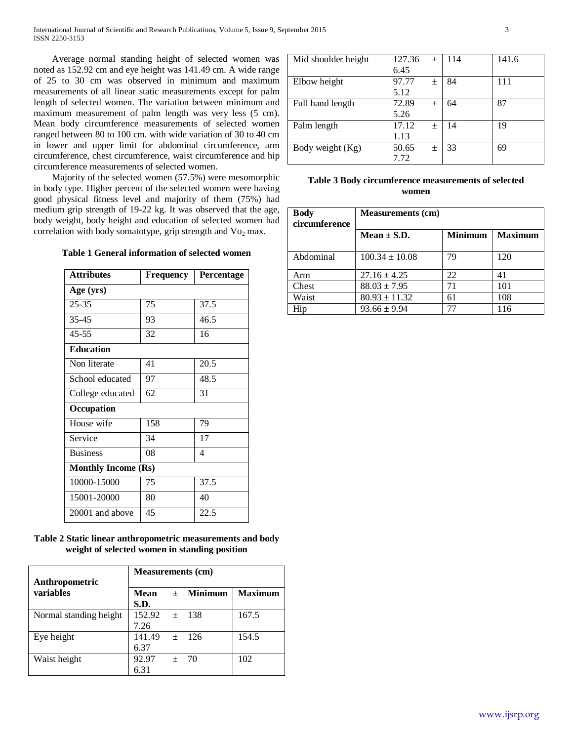Average normal standing height of selected women was noted as 152.92 cm and eye height was 141.49 cm. A wide range of 25 to 30 cm was observed in minimum and maximum measurements of all linear static measurements except for palm length of selected women. The variation between minimum and maximum measurement of palm length was very less (5 cm). Mean body circumference measurements of selected women ranged between 80 to 100 cm. with wide variation of 30 to 40 cm in lower and upper limit for abdominal circumference, arm circumference, chest circumference, waist circumference and hip circumference measurements of selected women.

 Majority of the selected women (57.5%) were mesomorphic in body type. Higher percent of the selected women were having good physical fitness level and majority of them (75%) had medium grip strength of 19-22 kg. It was observed that the age, body weight, body height and education of selected women had correlation with body somatotype, grip strength and  $Vo_2$  max.

**Table 1 General information of selected women**

| <b>Attributes</b>          | <b>Frequency</b> | <b>Percentage</b> |  |  |  |
|----------------------------|------------------|-------------------|--|--|--|
| Age (yrs)                  |                  |                   |  |  |  |
| $25 - 35$                  | 75               | 37.5              |  |  |  |
| 35-45                      | 93               | 46.5              |  |  |  |
| $45 - 55$                  | 32               | 16                |  |  |  |
| <b>Education</b>           |                  |                   |  |  |  |
| Non literate               | 41               | 20.5              |  |  |  |
| School educated            | 97               | 48.5              |  |  |  |
| College educated           | 62               | 31                |  |  |  |
| Occupation                 |                  |                   |  |  |  |
| House wife                 | 158              | 79                |  |  |  |
| Service                    | 34               | 17                |  |  |  |
| <b>Business</b>            | 08               | 4                 |  |  |  |
| <b>Monthly Income (Rs)</b> |                  |                   |  |  |  |
| 10000-15000                | 75               | 37.5              |  |  |  |
| 15001-20000                | 80               | 40                |  |  |  |
| 20001 and above            | 45               | 22.5              |  |  |  |

## **Table 2 Static linear anthropometric measurements and body weight of selected women in standing position**

| Anthropometric         | <b>Measurements (cm)</b> |       |                |                |
|------------------------|--------------------------|-------|----------------|----------------|
| variables              | Mean<br>S.D.             | 土     | <b>Minimum</b> | <b>Maximum</b> |
| Normal standing height | 152.92<br>7.26           | $\pm$ | 138            | 167.5          |
| Eye height             | 141.49<br>6.37           | $\pm$ | 126            | 154.5          |
| Waist height           | 92.97<br>6.31            | $\pm$ | 70             | 102            |

| Mid shoulder height | 127.36 | $\pm$ | 114 | 141.6 |
|---------------------|--------|-------|-----|-------|
|                     | 6.45   |       |     |       |
| Elbow height        | 97.77  | $\pm$ | 84  | 111   |
|                     | 5.12   |       |     |       |
| Full hand length    | 72.89  | 土     | 64  | 87    |
|                     | 5.26   |       |     |       |
| Palm length         | 17.12  | $\pm$ | 14  | 19    |
|                     | 1.13   |       |     |       |
| Body weight (Kg)    | 50.65  | 土     | 33  | 69    |
|                     | 7.72   |       |     |       |

| Table 3 Body circumference measurements of selected |
|-----------------------------------------------------|
| women                                               |

| <b>Body</b><br>circumference | <b>Measurements (cm)</b> |                |                |  |
|------------------------------|--------------------------|----------------|----------------|--|
|                              | Mean $\pm$ S.D.          | <b>Minimum</b> | <b>Maximum</b> |  |
| Abdominal                    | $100.34 \pm 10.08$       | 79             | 120            |  |
| Arm                          | $27.16 \pm 4.25$         | 22             | 41             |  |
| Chest                        | $88.03 \pm 7.95$         | 71             | 101            |  |
| Waist                        | $80.93 \pm 11.32$        | 61             | 108            |  |
| Hip                          | $93.66 \pm 9.94$         | 77             | 116            |  |